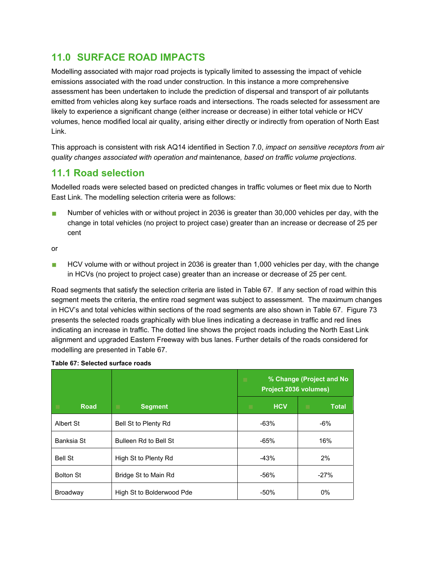## **11.0 SURFACE ROAD IMPACTS**

Modelling associated with major road projects is typically limited to assessing the impact of vehicle emissions associated with the road under construction. In this instance a more comprehensive assessment has been undertaken to include the prediction of dispersal and transport of air pollutants emitted from vehicles along key surface roads and intersections. The roads selected for assessment are likely to experience a significant change (either increase or decrease) in either total vehicle or HCV volumes, hence modified local air quality, arising either directly or indirectly from operation of North East Link.

This approach is consistent with risk AQ14 identified in Section 7.0, *impact on sensitive receptors from air quality changes associated with operation and* maintenance*, based on traffic volume projections*.

## **11.1 Road selection**

Modelled roads were selected based on predicted changes in traffic volumes or fleet mix due to North East Link. The modelling selection criteria were as follows:

Number of vehicles with or without project in 2036 is greater than 30,000 vehicles per day, with the change in total vehicles (no project to project case) greater than an increase or decrease of 25 per cent

or

**HCV** volume with or without project in 2036 is greater than 1,000 vehicles per day, with the change in HCVs (no project to project case) greater than an increase or decrease of 25 per cent.

Road segments that satisfy the selection criteria are listed in Table 67. If any section of road within this segment meets the criteria, the entire road segment was subject to assessment. The maximum changes in HCV's and total vehicles within sections of the road segments are also shown in Table 67. Figure 73 presents the selected roads graphically with blue lines indicating a decrease in traffic and red lines indicating an increase in traffic. The dotted line shows the project roads including the North East Link alignment and upgraded Eastern Freeway with bus lanes. Further details of the roads considered for modelling are presented in Table 67.

|                  |                           | % Change (Project and No<br>٠<br><b>Project 2036 volumes)</b> |                   |
|------------------|---------------------------|---------------------------------------------------------------|-------------------|
| <b>Road</b><br>٠ | <b>Segment</b><br>٠       | <b>HCV</b><br>۰                                               | <b>Total</b><br>٠ |
| Albert St        | Bell St to Plenty Rd      | $-63%$                                                        | $-6%$             |
| Banksia St       | Bulleen Rd to Bell St     | $-65%$                                                        | 16%               |
| <b>Bell St</b>   | High St to Plenty Rd      | $-43%$                                                        | 2%                |
| <b>Bolton St</b> | Bridge St to Main Rd      | $-56%$                                                        | $-27%$            |
| <b>Broadway</b>  | High St to Bolderwood Pde | $-50%$                                                        | $0\%$             |

## **Table 67: Selected surface roads**